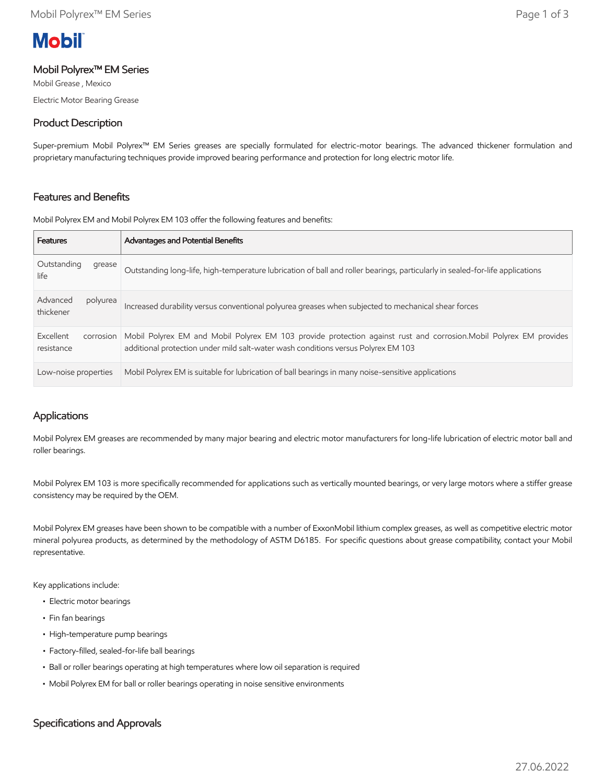# **Mobil**

## Mobil Polyrex™ EM Series

Mobil Grease , Mexico Electric Motor Bearing Grease

# Product Description

Super-premium Mobil Polyrex™ EM Series greases are specially formulated for electric-motor bearings. The advanced thickener formulation and proprietary manufacturing techniques provide improved bearing performance and protection for long electric motor life.

# Features and Benefits

Mobil Polyrex EM and Mobil Polyrex EM 103 offer the following features and benefits:

| <b>Features</b>                      | <b>Advantages and Potential Benefits</b>                                                                                                                                                                |
|--------------------------------------|---------------------------------------------------------------------------------------------------------------------------------------------------------------------------------------------------------|
| Outstanding<br>grease<br>life        | Outstanding long-life, high-temperature lubrication of ball and roller bearings, particularly in sealed-for-life applications                                                                           |
| Advanced<br>polyurea<br>thickener    | Increased durability versus conventional polyurea greases when subjected to mechanical shear forces                                                                                                     |
| Excellent<br>corrosion<br>resistance | Mobil Polyrex EM and Mobil Polyrex EM 103 provide protection against rust and corrosion. Mobil Polyrex EM provides<br>additional protection under mild salt-water wash conditions versus Polyrex EM 103 |
| Low-noise properties                 | Mobil Polyrex EM is suitable for lubrication of ball bearings in many noise-sensitive applications                                                                                                      |

# Applications

Mobil Polyrex EM greases are recommended by many major bearing and electric motor manufacturers for long-life lubrication of electric motor ball and roller bearings.

Mobil Polyrex EM 103 is more specifically recommended for applications such as vertically mounted bearings, or very large motors where a stiffer grease consistency may be required by the OEM.

Mobil Polyrex EM greases have been shown to be compatible with a number of ExxonMobil lithium complex greases, as well as competitive electric motor mineral polyurea products, as determined by the methodology of ASTM D6185. For specific questions about grease compatibility, contact your Mobil representative.

Key applications include:

- Electric motor bearings
- Fin fan bearings
- High-temperature pump bearings
- Factory-filled, sealed-for-life ball bearings
- Ball or roller bearings operating at high temperatures where low oil separation is required
- Mobil Polyrex EM for ball or roller bearings operating in noise sensitive environments

# Specifications and Approvals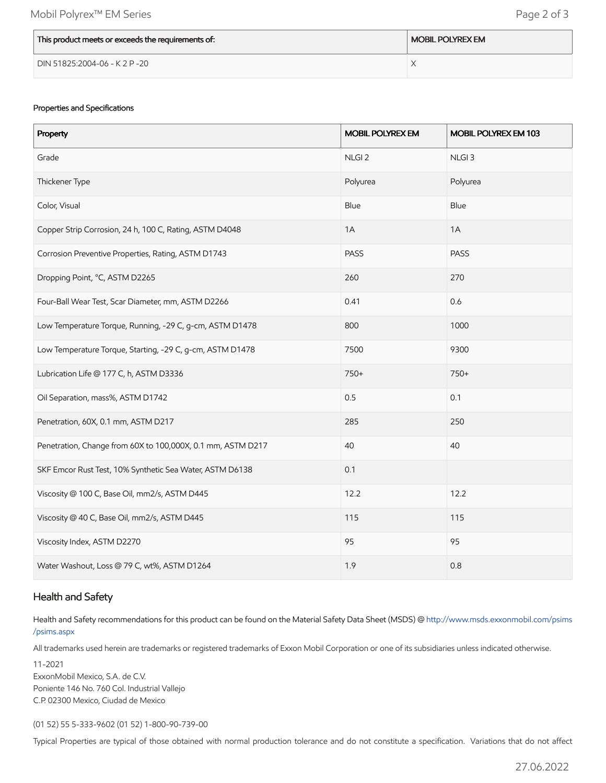| This product meets or exceeds the requirements of: | <b>MOBIL POLYREX EM</b> |
|----------------------------------------------------|-------------------------|
| DIN 51825:2004-06 - K 2 P -20                      |                         |

### Properties and Specifications

| Property                                                    | <b>MOBIL POLYREX EM</b> | MOBIL POLYREX EM 103 |
|-------------------------------------------------------------|-------------------------|----------------------|
| Grade                                                       | NLGI <sub>2</sub>       | NLGI <sub>3</sub>    |
| Thickener Type                                              | Polyurea                | Polyurea             |
| Color, Visual                                               | Blue                    | Blue                 |
| Copper Strip Corrosion, 24 h, 100 C, Rating, ASTM D4048     | 1A                      | 1A                   |
| Corrosion Preventive Properties, Rating, ASTM D1743         | <b>PASS</b>             | <b>PASS</b>          |
| Dropping Point, °C, ASTM D2265                              | 260                     | 270                  |
| Four-Ball Wear Test, Scar Diameter, mm, ASTM D2266          | 0.41                    | 0.6                  |
| Low Temperature Torque, Running, -29 C, g-cm, ASTM D1478    | 800                     | 1000                 |
| Low Temperature Torque, Starting, -29 C, g-cm, ASTM D1478   | 7500                    | 9300                 |
| Lubrication Life @ 177 C, h, ASTM D3336                     | 750+                    | 750+                 |
| Oil Separation, mass%, ASTM D1742                           | 0.5                     | 0.1                  |
| Penetration, 60X, 0.1 mm, ASTM D217                         | 285                     | 250                  |
| Penetration, Change from 60X to 100,000X, 0.1 mm, ASTM D217 | 40                      | 40                   |
| SKF Emcor Rust Test, 10% Synthetic Sea Water, ASTM D6138    | 0.1                     |                      |
| Viscosity @ 100 C, Base Oil, mm2/s, ASTM D445               | 12.2                    | 12.2                 |
| Viscosity @ 40 C, Base Oil, mm2/s, ASTM D445                | 115                     | 115                  |
| Viscosity Index, ASTM D2270                                 | 95                      | 95                   |
| Water Washout, Loss @ 79 C, wt%, ASTM D1264                 | 1.9                     | 0.8                  |

## Health and Safety

Health and Safety recommendations for this product can be found on the Material Safety Data Sheet (MSDS) @ [http://www.msds.exxonmobil.com/psims](http://www.msds.exxonmobil.com/psims/psims.aspx) /psims.aspx

All trademarks used herein are trademarks or registered trademarks of Exxon Mobil Corporation or one of its subsidiaries unless indicated otherwise.

11-2021 ExxonMobil Mexico, S.A. de C.V. Poniente 146 No. 760 Col. Industrial Vallejo C.P. 02300 Mexico, Ciudad de Mexico

(01 52) 55 5-333-9602 (01 52) 1-800-90-739-00

Typical Properties are typical of those obtained with normal production tolerance and do not constitute a specification. Variations that do not affect